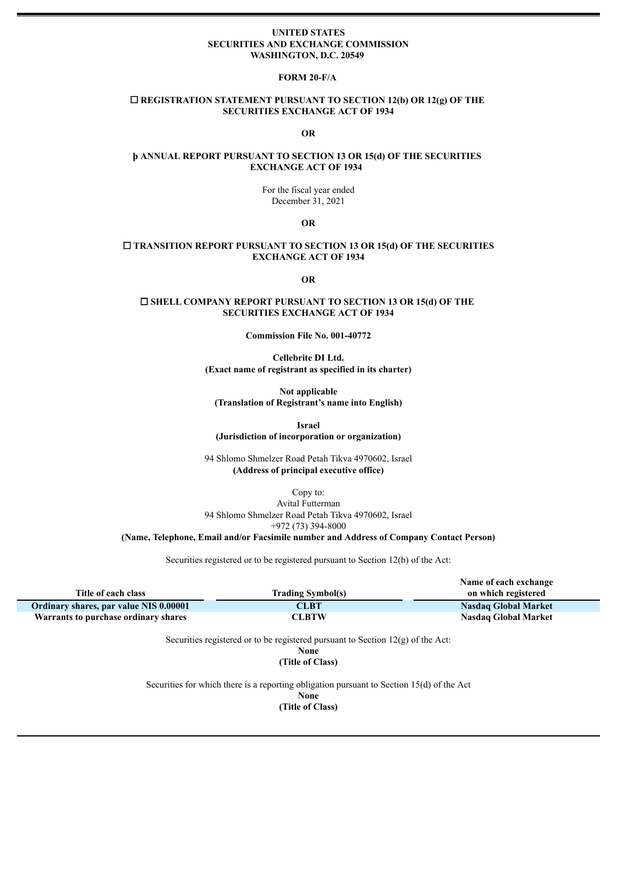#### **UNITED STATES SECURITIES AND EXCHANGE COMMISSION WASHINGTON, D.C. 20549**

### **FORM 20-F/A**

### ☐ **REGISTRATION STATEMENT PURSUANT TO SECTION 12(b) OR 12(g) OF THE SECURITIES EXCHANGE ACT OF 1934**

#### **OR**

### **þ ANNUAL REPORT PURSUANT TO SECTION 13 OR 15(d) OF THE SECURITIES EXCHANGE ACT OF 1934**

For the fiscal year ended December 31, 2021

**OR**

### ☐ **TRANSITION REPORT PURSUANT TO SECTION 13 OR 15(d) OF THE SECURITIES EXCHANGE ACT OF 1934**

**OR**

### ☐ **SHELL COMPANY REPORT PURSUANT TO SECTION 13 OR 15(d) OF THE SECURITIES EXCHANGE ACT OF 1934**

**Commission File No. 001-40772**

**Cellebrite DI Ltd. (Exact name of registrant as specified in its charter)**

**Not applicable (Translation of Registrant's name into English)**

**Israel**

**(Jurisdiction of incorporation or organization)**

94 Shlomo Shmelzer Road Petah Tikva 4970602, Israel **(Address of principal executive office)**

Copy to: Avital Futterman 94 Shlomo Shmelzer Road Petah Tikva 4970602, Israel +972 (73) 394-8000

**(Name, Telephone, Email and/or Facsimile number and Address of Company Contact Person)**

Securities registered or to be registered pursuant to Section 12(b) of the Act:

|                                        |                          | Name of each exchange       |
|----------------------------------------|--------------------------|-----------------------------|
| Title of each class                    | <b>Trading Symbol(s)</b> | on which registered         |
| Ordinary shares, par value NIS 0.00001 | <b>CLBT</b>              | <b>Nasdaq Global Market</b> |
| Warrants to purchase ordinary shares   | CLBTW                    | Nasdaq Global Market        |

Securities registered or to be registered pursuant to Section 12(g) of the Act: **None**

**(Title of Class)**

Securities for which there is a reporting obligation pursuant to Section 15(d) of the Act **None (Title of Class)**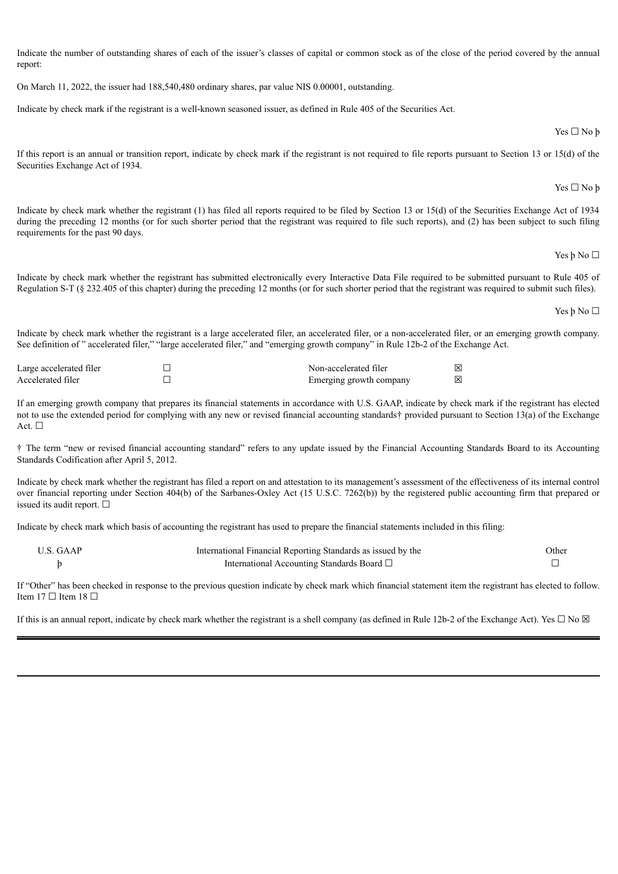Indicate the number of outstanding shares of each of the issuer's classes of capital or common stock as of the close of the period covered by the annual report:

On March 11, 2022, the issuer had 188,540,480 ordinary shares, par value NIS 0.00001, outstanding.

Indicate by check mark if the registrant is a well-known seasoned issuer, as defined in Rule 405 of the Securities Act.

If this report is an annual or transition report, indicate by check mark if the registrant is not required to file reports pursuant to Section 13 or 15(d) of the Securities Exchange Act of 1934.

Indicate by check mark whether the registrant (1) has filed all reports required to be filed by Section 13 or 15(d) of the Securities Exchange Act of 1934 during the preceding 12 months (or for such shorter period that the registrant was required to file such reports), and (2) has been subject to such filing requirements for the past 90 days.

Indicate by check mark whether the registrant has submitted electronically every Interactive Data File required to be submitted pursuant to Rule 405 of Regulation S-T (§ 232.405 of this chapter) during the preceding 12 months (or for such shorter period that the registrant was required to submit such files).

Indicate by check mark whether the registrant is a large accelerated filer, an accelerated filer, or a non-accelerated filer, or an emerging growth company. See definition of " accelerated filer," "large accelerated filer," and "emerging growth company" in Rule 12b-2 of the Exchange Act.

| Large accelerated filer | Non-accelerated filer   | ΙXΙ |
|-------------------------|-------------------------|-----|
| Accelerated filer       | Emerging growth company | ⊠   |

If an emerging growth company that prepares its financial statements in accordance with U.S. GAAP, indicate by check mark if the registrant has elected not to use the extended period for complying with any new or revised financial accounting standards† provided pursuant to Section 13(a) of the Exchange Act. □

† The term "new or revised financial accounting standard" refers to any update issued by the Financial Accounting Standards Board to its Accounting Standards Codification after April 5, 2012.

Indicate by check mark whether the registrant has filed a report on and attestation to its management's assessment of the effectiveness of its internal control over financial reporting under Section 404(b) of the Sarbanes-Oxley Act (15 U.S.C. 7262(b)) by the registered public accounting firm that prepared or issued its audit report.  $□$ 

Indicate by check mark which basis of accounting the registrant has used to prepare the financial statements included in this filing:

| U.S. GAAP | International Financial Reporting Standards as issued by the | Other |
|-----------|--------------------------------------------------------------|-------|
|           | International Accounting Standards Board $\Box$              |       |

If "Other" has been checked in response to the previous question indicate by check mark which financial statement item the registrant has elected to follow. Item 17 □ Item 18 □

If this is an annual report, indicate by check mark whether the registrant is a shell company (as defined in Rule 12b-2 of the Exchange Act). Yes  $\Box$  No  $\boxtimes$ 

Yes ☐ No þ

Yes ☐ No þ

Yes þ No ☐

Yes þ No ☐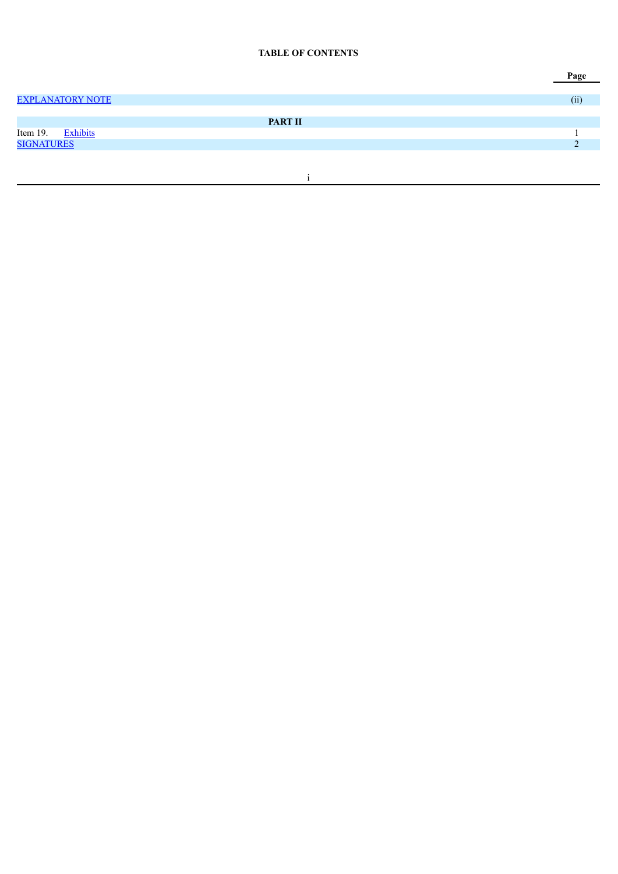### **TABLE OF CONTENTS**

|                             | Page |
|-----------------------------|------|
|                             |      |
| <b>EXPLANATORY NOTE</b>     | (ii) |
|                             |      |
| <b>PART II</b>              |      |
| <b>Exhibits</b><br>Item 19. |      |
| <b>SIGNATURES</b>           |      |
|                             |      |
|                             |      |
|                             |      |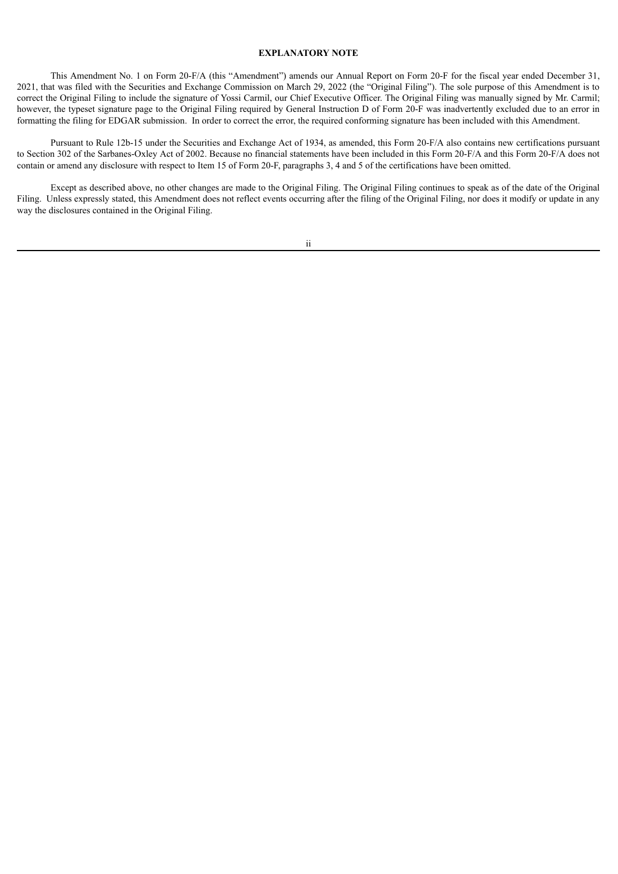### **EXPLANATORY NOTE**

<span id="page-3-0"></span>This Amendment No. 1 on Form 20-F/A (this "Amendment") amends our Annual Report on Form 20-F for the fiscal year ended December 31, 2021, that was filed with the Securities and Exchange Commission on March 29, 2022 (the "Original Filing"). The sole purpose of this Amendment is to correct the Original Filing to include the signature of Yossi Carmil, our Chief Executive Officer. The Original Filing was manually signed by Mr. Carmil; however, the typeset signature page to the Original Filing required by General Instruction D of Form 20-F was inadvertently excluded due to an error in formatting the filing for EDGAR submission. In order to correct the error, the required conforming signature has been included with this Amendment.

Pursuant to Rule 12b-15 under the Securities and Exchange Act of 1934, as amended, this Form 20-F/A also contains new certifications pursuant to Section 302 of the Sarbanes-Oxley Act of 2002. Because no financial statements have been included in this Form 20-F/A and this Form 20-F/A does not contain or amend any disclosure with respect to Item 15 of Form 20-F, paragraphs 3, 4 and 5 of the certifications have been omitted.

Except as described above, no other changes are made to the Original Filing. The Original Filing continues to speak as of the date of the Original Filing. Unless expressly stated, this Amendment does not reflect events occurring after the filing of the Original Filing, nor does it modify or update in any way the disclosures contained in the Original Filing.

### ii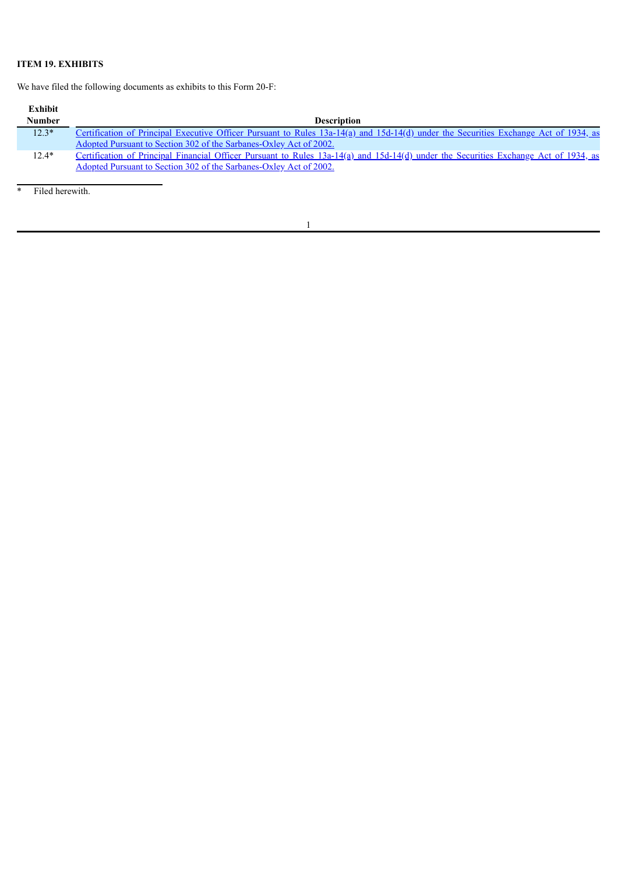# <span id="page-4-0"></span>**ITEM 19. EXHIBITS**

We have filed the following documents as exhibits to this Form 20-F:

| Exhibit       |                                                                                                                                      |
|---------------|--------------------------------------------------------------------------------------------------------------------------------------|
| <b>Number</b> | <b>Description</b>                                                                                                                   |
| $12.3*$       | Certification of Principal Executive Officer Pursuant to Rules 13a-14(a) and 15d-14(d) under the Securities Exchange Act of 1934, as |
|               | Adopted Pursuant to Section 302 of the Sarbanes-Oxley Act of 2002.                                                                   |
| $12.4*$       | Certification of Principal Financial Officer Pursuant to Rules 13a-14(a) and 15d-14(d) under the Securities Exchange Act of 1934, as |
|               | Adopted Pursuant to Section 302 of the Sarbanes-Oxley Act of 2002.                                                                   |

\* Filed herewith.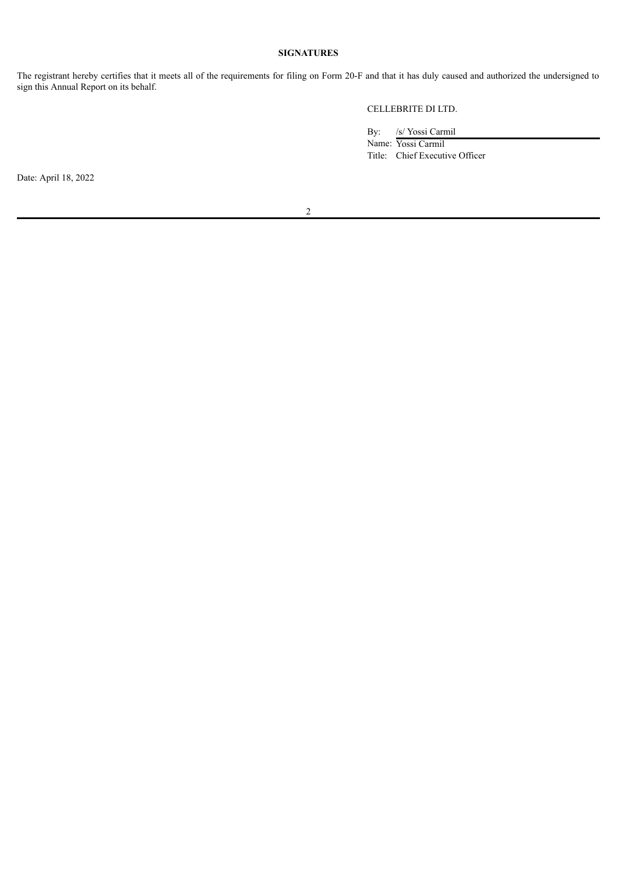## **SIGNATURES**

<span id="page-5-0"></span>The registrant hereby certifies that it meets all of the requirements for filing on Form 20-F and that it has duly caused and authorized the undersigned to sign this Annual Report on its behalf.

CELLEBRITE DI LTD.

By: /s/ Yossi Carmil

Name: Yossi Carmil Title: Chief Executive Officer

Date: April 18, 2022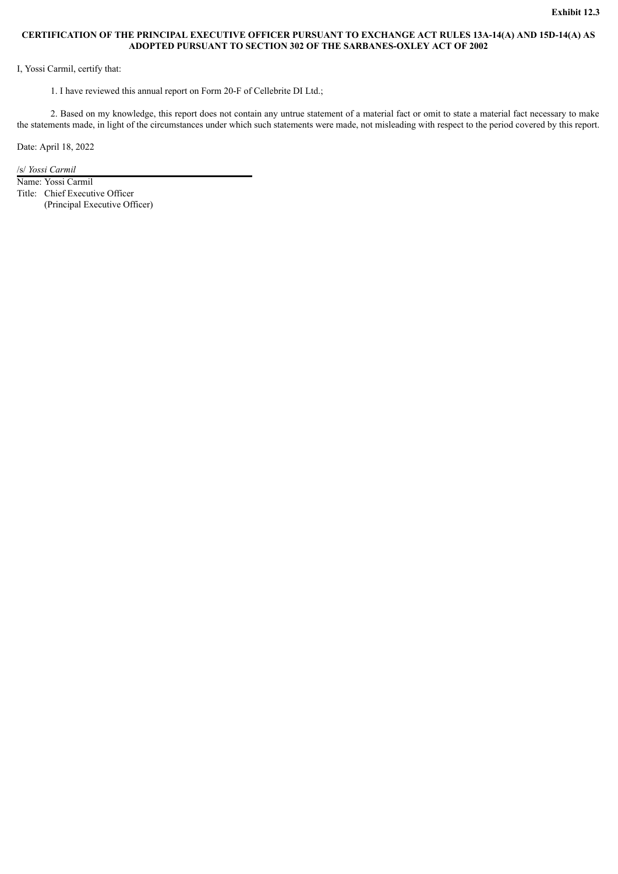### <span id="page-6-0"></span>**CERTIFICATION OF THE PRINCIPAL EXECUTIVE OFFICER PURSUANT TO EXCHANGE ACT RULES 13A-14(A) AND 15D-14(A) AS ADOPTED PURSUANT TO SECTION 302 OF THE SARBANES-OXLEY ACT OF 2002**

I, Yossi Carmil, certify that:

1. I have reviewed this annual report on Form 20-F of Cellebrite DI Ltd.;

2. Based on my knowledge, this report does not contain any untrue statement of a material fact or omit to state a material fact necessary to make the statements made, in light of the circumstances under which such statements were made, not misleading with respect to the period covered by this report.

Date: April 18, 2022

/s/ *Yossi Carmil*

Name: Yossi Carmil Title: Chief Executive Officer (Principal Executive Officer)